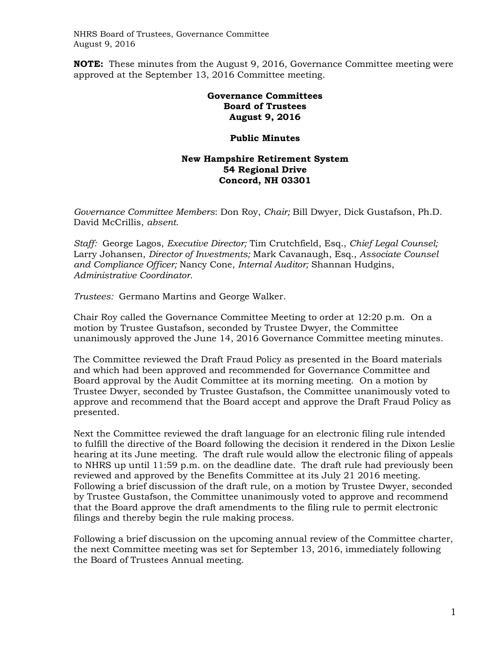**NOTE:** These minutes from the August 9, 2016, Governance Committee meeting were approved at the September 13, 2016 Committee meeting.

## **Governance Committees Board of Trustees August 9, 2016**

## **Public Minutes**

## **New Hampshire Retirement System 54 Regional Drive Concord, NH 03301**

*Governance Committee Members*: Don Roy, *Chair;* Bill Dwyer, Dick Gustafson, Ph.D. David McCrillis, *absent*.

*Staff:* George Lagos, *Executive Director;* Tim Crutchfield, Esq., *Chief Legal Counsel;*  Larry Johansen, *Director of Investments;* Mark Cavanaugh, Esq., *Associate Counsel and Compliance Officer;* Nancy Cone, *Internal Auditor;* Shannan Hudgins, *Administrative Coordinator.* 

*Trustees:* Germano Martins and George Walker.

Chair Roy called the Governance Committee Meeting to order at 12:20 p.m. On a motion by Trustee Gustafson, seconded by Trustee Dwyer, the Committee unanimously approved the June 14, 2016 Governance Committee meeting minutes.

The Committee reviewed the Draft Fraud Policy as presented in the Board materials and which had been approved and recommended for Governance Committee and Board approval by the Audit Committee at its morning meeting. On a motion by Trustee Dwyer, seconded by Trustee Gustafson, the Committee unanimously voted to approve and recommend that the Board accept and approve the Draft Fraud Policy as presented.

Next the Committee reviewed the draft language for an electronic filing rule intended to fulfill the directive of the Board following the decision it rendered in the Dixon Leslie hearing at its June meeting. The draft rule would allow the electronic filing of appeals to NHRS up until 11:59 p.m. on the deadline date. The draft rule had previously been reviewed and approved by the Benefits Committee at its July 21 2016 meeting. Following a brief discussion of the draft rule, on a motion by Trustee Dwyer, seconded by Trustee Gustafson, the Committee unanimously voted to approve and recommend that the Board approve the draft amendments to the filing rule to permit electronic filings and thereby begin the rule making process.

Following a brief discussion on the upcoming annual review of the Committee charter, the next Committee meeting was set for September 13, 2016, immediately following the Board of Trustees Annual meeting.